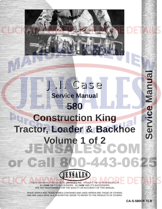### **Service Manual 580 Construction King [Tractor, Loader & Backhoe](http://www.jensales.com/products/case-580-tractor-loader-backhoe-service-manual.html) Volume 1 of 2** 1-443-062  $F$  (  $\approx$  ) is ENSALES

J.I. Case

THIS IS A MANUAL PRODUCED BY **JENSALES INC.** WITHOUT THE AUTHORIZATION OF **J.I. CASE** OR IT'S SUCCESSORS. **J.I. CASE** AND IT'S SUCCESSORS ARE NOT RESPONSIBLE FOR THE QUALITY OR ACCURACY OF THIS MANUAL.

TRADE MARKS AND TRADE NAMES CONTAINED AND USED HEREIN ARE THOSE OF OTHERS, AND ARE USED HERE IN A DESCRIPTIVE SENSE TO REFER TO THE PRODUCTS OF OTHERS.

**CA-S-580CK TLB**

**Service Manual**

Service

**Manua**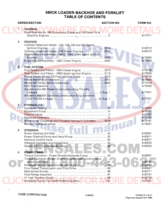### **S80CK LOADER-BACKHOE AND FORKLIFT TABLE OF CONTENTS**

|                         | <b>SERIES/SECTION</b>                                                                                                                                                                                                                                                                                                                                 | <b>SECTION NO.</b> | FORM NO.                                                                             |
|-------------------------|-------------------------------------------------------------------------------------------------------------------------------------------------------------------------------------------------------------------------------------------------------------------------------------------------------------------------------------------------------|--------------------|--------------------------------------------------------------------------------------|
|                         | <b>GENERAL</b><br>Specifications for 188 Dynaclonic Diesel and 159 Powr-Torq                                                                                                                                                                                                                                                                          |                    | 9-77011                                                                              |
| $\overline{\mathbf{2}}$ | <b>ENGINES</b><br>Cylinder Head and Valves - 148, 159, 188 and 201 Spark<br>Cylinder Head and Valves - 188 Diesel Engines  2014<br>Engine Block Assemblies - 188G, 159G, 148G Spark Ignition<br>Engine Block Assembly - 188D Diesel Engine  2024                                                                                                      |                    | 9-80512<br>9-80473<br>9-76995<br>9-77005                                             |
| 3 <sup>1</sup>          | <b>FUEL SYSTEM</b><br>Fuel System and Filters - 188D Diesel Engine  3010<br>Fuel System and Filters - 188G Spark Ignition Engine  3110<br>Roosa Master Model DB Fuel Injection Pump  3012<br>Model 267 Series Zenith Carburetor  3033<br>Adjusting the 580 Diesel Construction King Throttle<br>Adjusting the 580 Gasoline Construction King Governor |                    | 9-78785<br>9-79065<br>9-78795<br>9-78806<br>9-77016<br>9-75492<br>9-77541<br>9-77521 |
| 4                       | <b>HYDRAULICS</b>                                                                                                                                                                                                                                                                                                                                     |                    | $\left( R\right)$<br>9-72562                                                         |
|                         | Break-Away Couplings and Portable Hydraulic Cylinders  4019.                                                                                                                                                                                                                                                                                          |                    | 9-72562<br>9-72562<br>9-72562<br>9-74197                                             |
| 5                       | <b>STEERING</b>                                                                                                                                                                                                                                                                                                                                       |                    | 9-75521                                                                              |
|                         | Power Steering Oil Filter<br>. 42 .<br>Steering Cylinders and Adjustment<br>Steering Axle and Wheel Bearings<br>National Communications 55                                                                                                                                                                                                            |                    | 9-80991<br>9-80611<br>9-80671<br>9-80622<br>9-80632                                  |
| 6                       | <b>POWER TRAIN</b><br>Torque Converter - Power Shuttle Hydraulic Pump  43                                                                                                                                                                                                                                                                             |                    | 9-80601                                                                              |
|                         | Torque Converter, Power Shuttle Countershaft, Control Valve<br>Four Speed Transmission and Final Drive  65<br>Hydraulic Pump (For Draft-O-Matic System)  DD                                                                                                                                                                                           |                    | 9-80761<br>9-80651<br>9-80641<br>9-80771<br>9-80781<br>9-80792<br>9-77061            |
|                         |                                                                                                                                                                                                                                                                                                                                                       |                    |                                                                                      |

 $\ddot{\phantom{a}}$ 

 $\frac{3}{2}$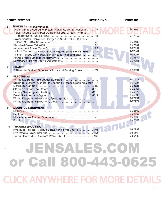|                   | <b>SERIES/SECTION</b>                                                                                                                                                                                                                                                                                                        | <b>SECTION NO.</b> | FORM NO.                                                                                    |
|-------------------|------------------------------------------------------------------------------------------------------------------------------------------------------------------------------------------------------------------------------------------------------------------------------------------------------------------------------|--------------------|---------------------------------------------------------------------------------------------|
| 6                 | <b>POWER TRAIN (Continued)</b><br>Draft-O-Matic Hydraulic System, Valve, Rockshaft Assembly  R<br><b>Power Shuttle (Converter Dump in Neutral Circuit) Prior to William</b>                                                                                                                                                  |                    | 9-77081<br>9-77122                                                                          |
|                   | Power Shuttle (Converter Charged in Neutral Circuit) Tractor<br>11 Inch Torque Converter, Before Tractor Serial No. 8314666  X<br>11 Inch Torque Converter, Serial No. 8314666 and after  X<br>Summary of Power Shuttle Adjustments                                                                                          |                    | 9-78102<br>9-77141<br>9-77151<br>9-77162<br>9-78091<br>9-78540<br>9-77951                   |
| 7                 | <b>BRAKES</b><br>Differential Brakes, Differential Lock and Parking Brake  74.                                                                                                                                                                                                                                               |                    | 9-80691                                                                                     |
| 8<br>$\mathbf{9}$ | <b>ELECTRICAL</b><br>Wiring Diagrams - 580 Loader Backhoe<br>Electrical System - Generator Charging System, Cranking Motor F'<br>Battery Servicing and Testing National Communications and Battery Servicing and Testing National Communication<br>Wiring Diagram - 580 Forklift, Spark Ignition<br><b>MOUNTED EQUIPMENT</b> |                    | 9-77171<br>9-77023<br>9-74625<br>9-75366<br>9-75377<br>9-75399<br>9-77991<br>9-77971<br>(R) |
|                   | Miscellaneous Tractor Components  VII                                                                                                                                                                                                                                                                                        |                    | 9-72562<br>9-72562<br>9-72562<br>9-72581                                                    |
| 10                | <b>TROUBLESHOOTING</b><br>Hydraulic Testing - Torque Converter, Power Shuttle  101<br>Torque Converter, Rockford Power Shuttle  162                                                                                                                                                                                          |                    | 9-80982<br>9-80801<br>9-80481                                                               |
|                   |                                                                                                                                                                                                                                                                                                                              |                    |                                                                                             |

# JENSALES.COM or Call 800-443-0625 **CLICK ANYWHERE FOR MORE DETAILS**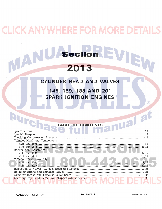### **ICK ANYWHERE FOR MORE DETA**

### Section EVIEW VIAN 2013

### CYLINDER HEAD AND VALVES

148, 159, 188 AND 201 **SPARK IGNITION ENGINES** 

### **TABLE OF CONTENTS**

| Cylinder Head and Components |
|------------------------------|
|                              |
|                              |
| Rocker Arm Assembly          |
| 14.15                        |
|                              |
|                              |
|                              |
|                              |
|                              |
|                              |
|                              |
|                              |

 $\left( \mathsf{R}\right)$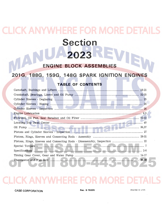### **CK ANYWHERE FOR MORE Section** 2023

#### **BLOCK ASSEMBLIES ENGINE**

#### 201G, 188G, 159G, 148G SPARK IGNITION **ENGINES**

### **TABLE OF CONTENTS**

| Pistons, Rings, Sleeves and Connecting Rods - Disassembly, Inspection  22 |  |
|---------------------------------------------------------------------------|--|
|                                                                           |  |
|                                                                           |  |
|                                                                           |  |
|                                                                           |  |
|                                                                           |  |

### ERE FO

Rac. 9-76995

PRINTED IN U.S.A.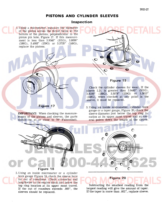### **[PISTONS AND CYLINDER SLEEVES](http://www.jensales.com/products/case-580-tractor-loader-backhoe-service-manual.html)**

#### **Inspection**

1. Using a micrometer, measure the diameter of the piston across the thrust faces at the bottom of the pistons, perpendicular to the piston pin hole, Figure 17. If this measurement is less than 3.9340" (201G), 3.8090" (188G), 3.4983" (159G) or 3.3735" (148G) , replace the pistons.

**Figure 17** 

**IMPORTANT:** When checking the measurements of the pistons and sleeves, the parts should be at or close to  $70^{\circ}$  Fahrenheit.



### **Figure 19**

Check the cylinder sleeves for wear. If the sleeve I.D. is greater than 3.9445" (201G), 3.8195" (188G), 3.5078" (159G) or 3.3815" (148G), when checked at any point in the sleeve, it must be replaced.  $\left( \mathbb{R}\right)$ 

3. Using an inside micrometer, cylinder bore gauge or a taper gauge, Figure 20, check the sleeve diameter just below the top ring location at its upper most travel and at several points down the length of the sleeve.

 $\mathbf C$ 

∩



2. Using an inside micrometer or a cylinder bore gauge Figure 18, check the sleeve bore for out of roundness. Check crosswise and lengthwise to the engine block just below the top ring location at its upper most travel. If the out of roundnes exceeds .005", the sleeves should be replaced.

Subtracting the smallest reading from the largest reading will give the amount of taper. If the taper is more than .001", replace sleeve.

 $\mathbf C$ 

**Figure 20** 

 $\mathbf C$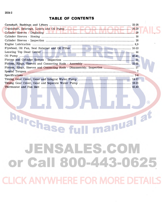TINDATH.

manual at

# **Durchase fu** JENSALES.COM or Call 800-443-0625 **CLICK ANYWHERE FOR MORE DETAIL**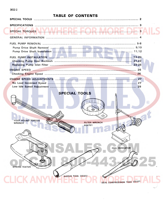| SPECIAL TORQUES MAMMEREDE CORMOREDE 3<br>THE THILIL PHILIPPINE PER |  |
|--------------------------------------------------------------------|--|
|                                                                    |  |
|                                                                    |  |
|                                                                    |  |
|                                                                    |  |
|                                                                    |  |
|                                                                    |  |
|                                                                    |  |
|                                                                    |  |
|                                                                    |  |
|                                                                    |  |
|                                                                    |  |
|                                                                    |  |
| المتواطن والمستعار والمستعار والمتناقص                             |  |

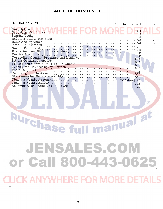TEINDYAU HE.

**Durchase fu** 

 $\circledR$ 

manual at

JENSALES.COM or Call 800-443-0625

**CLICK ANYWHERE FOR MORE DETA**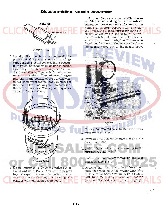### **[Disassembling Nozzle Assembly](http://www.jensales.com/products/case-580-tractor-loader-backhoe-service-manual.html)**

**N.4 NI** 

**HYDRAULIC** NOZZIE. EXTRACTOR.



dix Speed Clene, Figure 1-16, before removal is possible. Place clean soft rag or felt pad in the bottom of the solvent container to prevent the polished surfaces of the nozzle from coming into contact with the metal container. Do not place any other parts in the container.

Nozzles that cannot be readily disassembled after soaking in carbon solvent should be placed in the CD-534Hydraulic Nozzle Extractor, Figure 1-17. The CD-534 Hydraulic Nozzle Extractor can be installed on either the Bacharach or American Bosch Nozzle test stand. The nozzle extractor utilizes the hydraulic pressure developed by the nozzle test stand to force the nozzle valve out of the nozzle body.



NOZZLE ASSEMBLY

 $\left( \mathsf{R}\right)$ 

To use the CD-534 Nozzle Extractor on a Bacharach Test Stand:

a. Remove N-1 connector tube and N-7 Nut from test stand.

b. Install the stuck nozzle assembly in the extractor, Figure 1-17.

c. Install the nozzle extractor on the test stand, Figure 1-18.

d. Operate the test stand hand lever and build up pressure in the nozzle extractor to free stuck nozzle valve. A free nozzle will be indicated by a sudden pressure drop on the test stand pressure gauge.

2. Do not Attempt to Drive the Valve out or **Pull it out with Pliers.** You will damage it beyond repair. Prevent the polished surfaces of the nozzle body from coming into contact with any hard substances.

Figure 1-16

 $\mathbb{R}$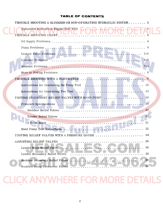| TROUBLE SHOOTING A SLUGGISH OR NON-OPERATING HYDRAULIC SYSTEM 3 |  |
|-----------------------------------------------------------------|--|
| Equipment Hydraulics/Engine Stall Test                          |  |
|                                                                 |  |
|                                                                 |  |
| Control Valve Problems<br>$5 - 6$                               |  |
| <b>Cylinder Problems</b><br>$6 - 7$                             |  |
| $7 - 8$<br>Backhoe Problems                                     |  |
| Hose or Fitting Problems                                        |  |
| TROUBLE SHOOTING WITH A FLOWMETER<br>.9                         |  |
| 10                                                              |  |
| 13                                                              |  |
| 19<br>TESTING SECONDARY RELIEF VALVES WITH HAND PUMP            |  |
| 20 <sup>°</sup>                                                 |  |
|                                                                 |  |
|                                                                 |  |
| 3 Point Hitch<br>21                                             |  |
| Hand Pump Test Procedures.<br>22                                |  |
| 24<br>TESTING RELIEF VALVES WITH A PRESSURE GAUGE               |  |
| 26<br>ADJUSTING RELIEF VALVES                                   |  |
| 26<br>Loader Main Relief Valve                                  |  |
| 26<br>Loader Secondary Relief Valves                            |  |
| 26<br>Backhoe Secondary Relief Valves                           |  |
| 26<br>Backhoe Swing Crossover Valves                            |  |
|                                                                 |  |

### **CLICK ANYWHERE FOR MORE DETAILS**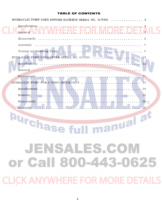| HYDRAULIC PUMP USED BEFORE BACKHOE SERIAL NO. 4176351  3                                                                                       |
|------------------------------------------------------------------------------------------------------------------------------------------------|
| Specifications recognized the term requirement of the contract of the second property of the second<br>RemovaH.N.Y.W.H.H.R.E.F.O.R.MO.R.E.D.E. |
|                                                                                                                                                |
| Assembly                                                                                                                                       |
|                                                                                                                                                |
|                                                                                                                                                |
|                                                                                                                                                |
|                                                                                                                                                |
| 11                                                                                                                                             |
| 14                                                                                                                                             |
|                                                                                                                                                |
|                                                                                                                                                |
|                                                                                                                                                |
| 16                                                                                                                                             |
|                                                                                                                                                |

Purchase full manual at JENSALES.COM or Call 800-443-0625 **CLICK ANYWHERE FOR MORE DETAILS**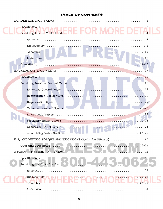| Specifications $\mathbf{v}_1, \mathbf{v}_2, \mathbf{v}_3, \mathbf{v}_4, \mathbf{v}_5, \mathbf{v}_6, \mathbf{v}_7, \mathbf{v}_8, \mathbf{v}_9, \mathbf{v}_1, \mathbf{v}_2, \mathbf{v}_3, \mathbf{v}_4, \mathbf{v}_5, \mathbf{v}_7, \mathbf{v}_8, \mathbf{v}_9, \mathbf{v}_9, \mathbf{v}_9, \mathbf{v}_9, \mathbf{v}_9, \mathbf{v}_9, \mathbf{v}_9, \mathbf{v}_9, \mathbf{v}_9, \mathbf{v$ |
|------------------------------------------------------------------------------------------------------------------------------------------------------------------------------------------------------------------------------------------------------------------------------------------------------------------------------------------------------------------------------------------|
| Removal                                                                                                                                                                                                                                                                                                                                                                                  |
|                                                                                                                                                                                                                                                                                                                                                                                          |
| Assembly                                                                                                                                                                                                                                                                                                                                                                                 |
| . . 10                                                                                                                                                                                                                                                                                                                                                                                   |
|                                                                                                                                                                                                                                                                                                                                                                                          |
|                                                                                                                                                                                                                                                                                                                                                                                          |
|                                                                                                                                                                                                                                                                                                                                                                                          |
|                                                                                                                                                                                                                                                                                                                                                                                          |
|                                                                                                                                                                                                                                                                                                                                                                                          |
|                                                                                                                                                                                                                                                                                                                                                                                          |
|                                                                                                                                                                                                                                                                                                                                                                                          |
|                                                                                                                                                                                                                                                                                                                                                                                          |
|                                                                                                                                                                                                                                                                                                                                                                                          |
|                                                                                                                                                                                                                                                                                                                                                                                          |
| Crossover Relief Valves<br>. 24                                                                                                                                                                                                                                                                                                                                                          |
| Assembling Valve Sections                                                                                                                                                                                                                                                                                                                                                                |
| U.S. AND METRIC TORQUE SPECIFICATIONS (Hydraulic Fittings)  25                                                                                                                                                                                                                                                                                                                           |
| Operating Principles.<br>$. 26 - 31$                                                                                                                                                                                                                                                                                                                                                     |
| 3 POINT HITCH CONTROL VALVE<br>32                                                                                                                                                                                                                                                                                                                                                        |
| Specifications $\ldots \ldots \ldots \ldots \ldots \ldots \ldots \ldots \ldots \ldots \ldots \ldots$<br>-32                                                                                                                                                                                                                                                                              |
| $\overline{11.33}$                                                                                                                                                                                                                                                                                                                                                                       |
| - 33                                                                                                                                                                                                                                                                                                                                                                                     |
| $. \cdot 33 - 35$<br>$.35 - 38$                                                                                                                                                                                                                                                                                                                                                          |
| 38                                                                                                                                                                                                                                                                                                                                                                                       |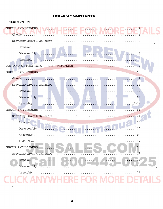| <u>WILLIE REIN MINIMINER</u><br>Glands N N N |
|----------------------------------------------|
|                                              |
| Removal                                      |
|                                              |
|                                              |
|                                              |
|                                              |
| <b>12</b>                                    |
|                                              |
|                                              |
|                                              |
| (R)                                          |
| GROUP 3 CYLINDERS                            |
|                                              |
| 15<br>Removal.                               |
| Disassembly<br>. 15                          |
| 17                                           |
| Installation<br>17                           |
| GROUP 4 CYLINDERS<br>19                      |
| Servicing Group 4 Cylinders<br>19            |
| $-19$<br>Removal                             |
| Disassembly<br>19                            |
| 19<br>Assembly.                              |
|                                              |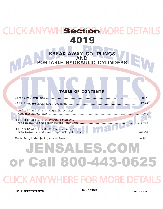**CLICK ANYWH Section MORE DETAILS 4019** 

> **BREAK-AWAY COUPLINGS AND [PORTABLE HYDRAULIC CYLINDERS](http://www.jensales.com/products/case-580-tractor-loader-backhoe-service-manual.html)**

### **TABLE OF CONTENTS**

|                                                   | 4019-2 |
|---------------------------------------------------|--------|
|                                                   |        |
| $3-1/4''$ x 8" and 4" x 8" Hydraulic cylinders    |        |
| $3-1/4$ " x 8" and $4$ " x 8" hydraulic cylinders |        |
| $3-1/4''$ x 8" and $4''$ x 8" hydraulic cylinders |        |
|                                                   |        |

# JENSALES.COM or Call 800-443-0625 **KANYWHERE FOR MORE DE**

**CASE CORPORATION Rac. 9-74197 PRINTED IN U.S.A.**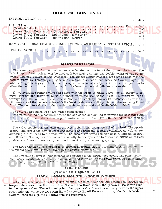INTRODUCTION.  $\cdot$   $\cdot$  D-2

OIL FLOW ..... Spools Neutral . . . . . . . . . . . . . . . . . . Lower Spool Rearward - [Upper Spool Forward .. Lower Spool Forward -](http://www.jensales.com/products/case-580-tractor-loader-backhoe-service-manual.html) Upper Spool Rearward .. Lower Spool Forward - Upper Spool Neutral ....  $\cdots$  D-2 thru D-9 .D-2 .D-4  $\cdot$ D-6  $\cdot$   $\cdot$  D-8

REMOVAL - DISASSEMBLY - INSPECTION - ASSEMBLY - INSTALLATION.  $D-10$ 

SPECIFICA TION . '.' . . . . . . . . . . . . . . . . . . . . . . . . . . . . . . . . . . . . . . D-12

#### **INTRODUCTION**

The remote hydraulic control valves are located on the top of the torque tube cover. The "stack up" of two valves can be used with two double acting, one double acting or one single acting and one double acting cylinders. The single acting cylinder can only be used with the bottom valve by removing a plug from the manifold as described under oil flow on Page D-S. When a single acting cylinder is used the upper valve must always be in the neutral position to allow the return oil to return to sump for the lower valve and cylinder to operate.

If two hydraulic remote valves are used with the Draft-O-Matic Valve, the oil supply is always through the lower valve to the upper valve and then to the Draft-O-Matic valve, back through the filter and into the reservoir. Therefore, each system works independently with the oil demands of the remote valve with the least resistance at the portable cylinder being filled first. The remote valve with the greater resistance second and Draft-O-Matic third.

The valves are made up of two major components:

The valve bodies are cast in one piece and are cored and drilled to provide for both inlet and return oil. Cored and drilled passages also direct the oil to and from the cylinders and back to the reservoir.

The valve spools contain lands and grooves to obtain metering control of the load. The spools control and direct the flow of pressurized oil to and from the portable cylinders as well as redirecting the oil back to the reservoir. The spools are three position spools, Extend, Neutral and Retract. The spools are moved manually by the operator to either the extend or retract positions and are automatically returned to neutral by a centering spring.

The Drop Check Valve function is to prevent hydraulic oil from flowing back to the pump as the spools are moved from or through the neutral positions.

The Hydraulic Pump is located under and mounted to the torque tube cover. The pump operates continuously when the engine is running and is driven by the power train. For servicing of the pump refer to Section "R" Draft-O-Matic.

### **OIL FLOW (Refer to Figure 0-1) Hand Levers Neutral-Spools Neutral**

With both valve spools in the neutral positions, the oil from the pump comes up through the - torque tube cover, into the lower valve. The oil then flows around the groove in the lower spool to the upper valve. The oil coming into the upper valve flows around the groove in the upper spool into the valve cover. From the valve cover the oil flows out through the Draft-O-Matic system, back through the oil filter into the reservoir.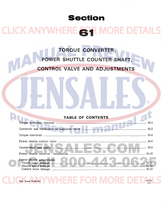### **Section**

### **CLICK ANYWHERE SAR MORE DETAILS**

### TORQUE CONVERTER, POWER SHUTTLE COUNTER-SHAFT.

#### **VALVE AND ADJUSTMENTS** CON

### **TABLE OF CONTENTS**

 $\left( \mathsf{R}\right)$ 

| Countershaft and gears <b>Executive Countershaft</b> and gears 61-8 |         |
|---------------------------------------------------------------------|---------|
|                                                                     | $61-10$ |
|                                                                     |         |
|                                                                     |         |
|                                                                     |         |

Rac. Form 9-80761

**YWHERE FOR MORE DETA-**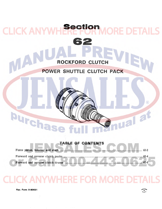### **ROCKFORD CLUTCH**

**Section** 

**[62](http://www.jensales.com/products/case-580-tractor-loader-backhoe-service-manual.html)** 

### **POWER SHUTTLE CLUTCH PACK**

### **TABLE OF CONTENTS**



burcha

**CLICK ANYW** 

MAD

EW

 $\circledR$ 

ual at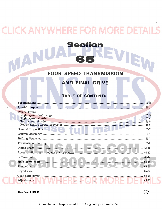### **CK ANYWHERE FOR MORE DETA**

Section

### **FOUR SPEED TRANSMISSION**

### **AND FINAL DRIVE**

### **TABLE OF CONTENTS**

| <b>Power Trains</b>                                                  |  |
|----------------------------------------------------------------------|--|
|                                                                      |  |
|                                                                      |  |
|                                                                      |  |
|                                                                      |  |
|                                                                      |  |
|                                                                      |  |
|                                                                      |  |
|                                                                      |  |
|                                                                      |  |
|                                                                      |  |
|                                                                      |  |
|                                                                      |  |
|                                                                      |  |
|                                                                      |  |
| Adjustments M. M. M. M. Handley, M. M. M. M. M. M. M. M. M. M. 1994. |  |

Rac. Form 9-80641

 $\mathbf{A}$ 

Compiled and Reproduced From Original by Jensales Inc.

FRINTE<sub>O</sub><br>U.S.F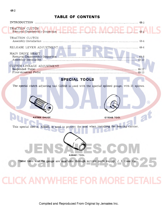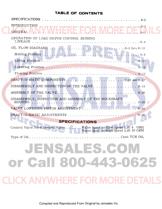| GENERAL ANYWHERE FOR MORE DE R <sup>2</sup>                                                                              |  |
|--------------------------------------------------------------------------------------------------------------------------|--|
| OPERATION OF LOAD DEPTH CONTROL SENSING                                                                                  |  |
|                                                                                                                          |  |
|                                                                                                                          |  |
|                                                                                                                          |  |
|                                                                                                                          |  |
|                                                                                                                          |  |
| DRAFT-O-MATIC COMPONENTS R-16 and R-17                                                                                   |  |
|                                                                                                                          |  |
|                                                                                                                          |  |
| DISASSEMBLY, INSPECTION AND ASSEMBLY OF THE ROCKSHAFT                                                                    |  |
|                                                                                                                          |  |
|                                                                                                                          |  |
| <b>SPECIFICATIONS</b>                                                                                                    |  |
| Control Valve Flow Divider Valve Valve Spool in Slow Speed Lift 4 GPM<br>Valve Spool in High Speed Lift 10 GPM           |  |
| Type of Oil $\ldots \ldots \ldots \ldots \ldots \ldots \ldots \ldots \ldots \ldots \ldots \ldots \ldots$ . Case TCH Oil. |  |
| JENSALES.COM                                                                                                             |  |
| or Call 800-443-0625                                                                                                     |  |
| <b>K ANYWHERE FOR MORF DFTAIL</b>                                                                                        |  |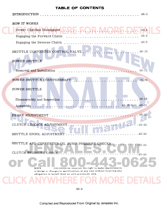| <b>INTRODUCTION</b>                                                                                                                                 | $4S-3$                       |
|-----------------------------------------------------------------------------------------------------------------------------------------------------|------------------------------|
| HOW IT WORKS                                                                                                                                        |                              |
|                                                                                                                                                     | $4S-4$                       |
| Engaging the Forward Clutch<br>.                                                                                                                    | $4S-6$                       |
| Engaging the Reverse Clutch                                                                                                                         | $4S-8$                       |
| SHUTTLE CONVERTER CONTROL VALVE                                                                                                                     | $4S-10$                      |
| POWER SHUTTLE                                                                                                                                       |                              |
| Removal and Installation                                                                                                                            | $4S - 12$                    |
| POWER SHUTTLE COUNTERSHAFT                                                                                                                          | $4S-14$                      |
| POWER SHUTTLE                                                                                                                                       |                              |
|                                                                                                                                                     | $4S-16$                      |
|                                                                                                                                                     | 4S-18 thru 4S-21             |
|                                                                                                                                                     |                              |
| BRAKE ADJUSTMENT                                                                                                                                    |                              |
| CLUTCH LINKAGE ADJUSTMENT                                                                                                                           | $4S - 22$                    |
|                                                                                                                                                     |                              |
| SHUTTLE SPOOL ADJUSTMENT                                                                                                                            | $.4S-23$                     |
| SHUTTLE AND CONVERTER OIL PUMP PRESSURE CHECKS                                                                                                      | $-4S-24$                     |
| CLUTCH PRESSURE CHECK                                                                                                                               | $\cdots \cdots \cdots$ 4S-24 |
|                                                                                                                                                     |                              |
| CASE CORPORATION reserves the right to make improvements<br><b>NOTE</b><br>in design or changes in specifications at any time without incurring any |                              |
| obligation to install them on units previously sold.                                                                                                |                              |

48-2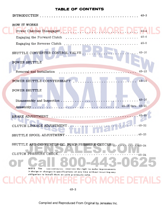$\overline{C}$ 

| <b>INTRODUCTION</b>                                                                                                              | $4S-3$           |
|----------------------------------------------------------------------------------------------------------------------------------|------------------|
| HOW IT WORKS<br>Power Clutches Disengaged<br>Engaging the Forward Clutch                                                         | $4S-4$<br>$4S-6$ |
| Engaging the Reverse Clutch                                                                                                      | $4S-8$           |
| SHUTTLE CONVERTER CONTROL VALVE                                                                                                  | $4S - 10$        |
| POWER SHUTTLE                                                                                                                    |                  |
| Removal and Installation                                                                                                         | $4S - 12$        |
| POWER SHUTTLE COUNTERSHAFT                                                                                                       | $4S-14$          |
| POWER SHUTTLE                                                                                                                    | $4S - 16$        |
|                                                                                                                                  |                  |
|                                                                                                                                  |                  |
| CLUTCH LINKAGE ADJUSTMENT                                                                                                        |                  |
| SHUTTLE SPOOL ADJUSTMENT                                                                                                         | $.4S-23$         |
| SHUTTLE AND CONVERTER OIL PUMP PRESSURE CHECKS                                                                                   | $.4S - 24$       |
| CLUTCH PRESSURE CHECK                                                                                                            | $.4S-24$         |
| <b>NOTE</b><br>The<br>CASE CORPORATION reserves the right to make improvements                                                   |                  |
| in design or changes in specifications at any time without incurring any<br>obligation to install them on units previously sold. |                  |
|                                                                                                                                  |                  |

48-2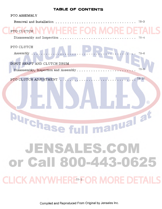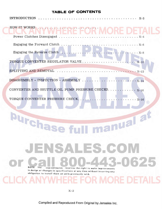| INTRODUCTION.                                                                                                                                                                                                                         |
|---------------------------------------------------------------------------------------------------------------------------------------------------------------------------------------------------------------------------------------|
| HOW IT WORKS NIVWHERE FOR                                                                                                                                                                                                             |
|                                                                                                                                                                                                                                       |
|                                                                                                                                                                                                                                       |
|                                                                                                                                                                                                                                       |
| SPLITTING AND REMOVAL $\ldots \ldots \ldots \ldots \ldots \ldots \ldots \ldots \ldots \ldots \ldots \ldots \ldots$                                                                                                                    |
|                                                                                                                                                                                                                                       |
| TORQUE CONVERTER PRESSURE CHECK<br>$\cdots \cdots \cdots x-16$<br>$\left( \mathsf{R}\right)$                                                                                                                                          |
| nual at<br><b>Urchase</b>                                                                                                                                                                                                             |
| JENSALES.C<br>$\left(\begin{array}{c} 0 \\ 0 \end{array}\right)$                                                                                                                                                                      |
| <b>-44350625</b><br>NOTE The<br>CASE CORPORATION reserves the right to make improvements<br>in design or changes in specifications at any time without incurring any<br>obligation to install them on units previously sold.<br>VHFRE |
|                                                                                                                                                                                                                                       |

 $X-2$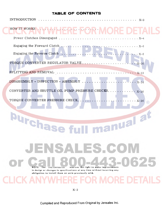| HOW IT WORKS NYWHERE FOR MORE DETA                                                                                |                             |
|-------------------------------------------------------------------------------------------------------------------|-----------------------------|
|                                                                                                                   |                             |
| Engaging the Forward Clutch $\ldots \ldots \ldots \ldots \ldots \ldots \ldots \ldots \ldots \ldots \ldots \ldots$ |                             |
|                                                                                                                   |                             |
| SPLITTING AND REMOVAL                                                                                             |                             |
|                                                                                                                   |                             |
|                                                                                                                   |                             |
|                                                                                                                   | $\left( \widehat{R}\right)$ |
| manual at<br><b>Urchase fr</b>                                                                                    |                             |

**NOTE** The CASE CORPORATION 'eserves the right to make improvements in design or changes in specifications at any time without incurring any obligation to install them on units previously sold.

JENSALES.CON

### DETAILS

525

X-2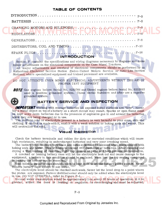| <b>INTRODUCTION</b>                                                                                                                                                                                                                                                                                                                                                                                                                      |
|------------------------------------------------------------------------------------------------------------------------------------------------------------------------------------------------------------------------------------------------------------------------------------------------------------------------------------------------------------------------------------------------------------------------------------------|
| Section F contains the specifications and wiring diagrams necessary to diagnose and make<br>minor adjustments on the electrical components on the Case Wheel Tractors.<br>All major adjustments and overhaul of electrical components should be performed by an<br>Authorized Electrical Service Station (Delco-United Motors Service or Auto-Lite Service<br>Stations) where specialized equipment and trained personnel are available. |
| DO NOT ATTEMPT EVEN MINOR ELECTRICAL ADJUSTMENTS WITHOUT THE AID OF<br>PROPER TEST EQUIPMENT                                                                                                                                                                                                                                                                                                                                             |

**II.T£** Gas engines before Serial No. 8233766 and Diesel engines before Serial No. 8232882 used a positive grounded system. These Serial Numbers and after use a negative grounded system.

 $\binom{R}{R}$ 

![](_page_26_Picture_3.jpeg)

### **BATTERY SERVICE AND INSPECTION**

**IMPORTANT** Working with storage batteries all exposed metal surfaces are "live". Never lay a metal object on top of a battery as a short circuit may result. Sparks or open flame must be kept away from batteries due to the presence of explosive gas in and around the batteries while they are being charged or in use.

The sulfuric acid or electrolyte present in a battery is very harmful to your eyes, skin and clothing. If contact is made with it, wash it with a weak solution or baking soda and water. This will neutralize the acid.

### **Visual Inspection**

Check the battery terminals and cables for dirty or corroded conditions which will cause high resistance, resulting in undercharged batteries and very poor cranking speed.

The battery tray, holdown terminals and cable ends must be cleaned when contaminated with balting soda and water. This will help to prevent self discharge of batteries. After cleaning and drying a thin coating of vasoline, light cup grease or paint will help prevent contamination.

A cracked or leaking battery case will let the electrolyte leak out and cause damage to the equipment, a battery in this condition should be replaced. When just the top sealing compound is leaking the battery can be resealed.

Vent holes in the filler caps should always be kept open to let the battery gases escape. Never remove battery caps except to add water.

The electrolyte level should be checked each week. Never let the level drop to a point where the plates are exposed. Pure or distilled water should only be added when the electrolyte level is low. DO NOT OVERFILL, refer to Figure F-l.

Normal water consumption would be approximately 1 oz. every 60 hours of operation. If it is greater, either the case is leaking or regulator is overcharging and must be adjusted.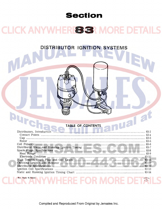### **Section**

### **CLICK ANYWHERES SR MORE DETAILS**

DISTRIBUTOR IGNITION SYSTEMS

MA

Rac. Form 9-74625

### OF CONTENTS

 $\circledR$ 

| Distributors, Introduction Maria Lawrence CONTENTS Distributors, Introduction |
|-------------------------------------------------------------------------------|
|                                                                               |
|                                                                               |
|                                                                               |
|                                                                               |
|                                                                               |
|                                                                               |
|                                                                               |
|                                                                               |
|                                                                               |
|                                                                               |
|                                                                               |
|                                                                               |
|                                                                               |
|                                                                               |

**VHERE FOR MORE DETAIL**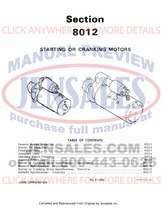### **Section CLICK ANYWHER8012 MORE DETAILS**

**[STARTING OR CRANKING MOTORS](http://www.jensales.com/products/case-580-tractor-loader-backhoe-service-manual.html)** 

### **T ABLE OF CONTENTS**

 $\Theta$ 

 $\circledR$ 

| Starter No Load Test Manuel Manuel Manuel Manuel Manuel Manuel Manuel 1991-4 |  |
|------------------------------------------------------------------------------|--|
|                                                                              |  |
|                                                                              |  |
|                                                                              |  |
|                                                                              |  |
|                                                                              |  |
|                                                                              |  |
|                                                                              |  |
|                                                                              |  |
|                                                                              |  |

Rac. 9-75366

CASE CORPORATION

**Purchas**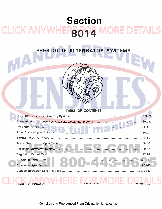### **Section CLICK ANYWHER5094** *AORE DETAILS*

**[PRESTOLITE ALTERNATOR SYSTEMS](http://www.jensales.com/products/case-580-tractor-loader-backhoe-service-manual.html)** 

### **T ABLE OF CONTENTS**

 $\circledR$ 

| Regulator Output Test New York 1980 and 2014.9                                        |  |
|---------------------------------------------------------------------------------------|--|
|                                                                                       |  |
| Alternator Specifications Material Communications and the South of the South South 11 |  |
|                                                                                       |  |
|                                                                                       |  |

CASE CORPORATION WELL RACE 9-75399 NORE DE PRINTED IN U.S.A.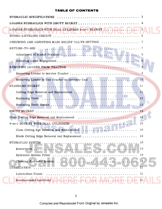| HYDRAULIC SPECIFICATIONS                            |                |
|-----------------------------------------------------|----------------|
| LOADER HYDRAULICS WITH DROTT BUCKET                 |                |
| LOADER HYDRAULICS WITH DUAL CYLINDER 4-in-1 BUCKET  |                |
|                                                     |                |
| CHECKING AND ADJUSTING MAIN RELIEF VALVE SETTING  7 |                |
|                                                     |                |
|                                                     |                |
|                                                     | 8 <sup>8</sup> |
|                                                     | 9              |
|                                                     |                |
|                                                     |                |
|                                                     | 11             |
|                                                     | 11             |
|                                                     | 13             |
|                                                     | (R)            |
|                                                     |                |
| Clam Cutting Edge Removal and Replacement           | 14             |
|                                                     | 16             |
|                                                     | 16             |
| Blade Cutting Edge Removal and Replacement          | 16             |
| HYDRAULIC SYSTEM                                    | 18             |
| Reservoirs                                          | 18             |
| Hydraulic System Filter                             | 19             |
| Cleaning Hydraulic System                           | 19             |
| LUBRICATION                                         | 21             |
| Lubrication Points                                  | 21             |
| Recommended Lubricant                               | 21             |

 $\mathcal{L}_{\mathcal{L}}$ 

 $\hat{\boldsymbol{\beta}}$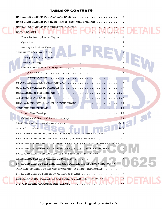| HYDRAULIC DIAGRAM FOR HYDRAULIC EXTENDABLE BACKHOE  4                                                                                                                                                                                                         |  |
|---------------------------------------------------------------------------------------------------------------------------------------------------------------------------------------------------------------------------------------------------------------|--|
|                                                                                                                                                                                                                                                               |  |
|                                                                                                                                                                                                                                                               |  |
|                                                                                                                                                                                                                                                               |  |
|                                                                                                                                                                                                                                                               |  |
|                                                                                                                                                                                                                                                               |  |
|                                                                                                                                                                                                                                                               |  |
|                                                                                                                                                                                                                                                               |  |
|                                                                                                                                                                                                                                                               |  |
|                                                                                                                                                                                                                                                               |  |
|                                                                                                                                                                                                                                                               |  |
| UNCOUPLING BACKHOE FROM TRACTOR  12                                                                                                                                                                                                                           |  |
|                                                                                                                                                                                                                                                               |  |
|                                                                                                                                                                                                                                                               |  |
|                                                                                                                                                                                                                                                               |  |
| $\left( \mathsf{R}\right)$<br>REMOVAL AND INSTALLATION OF SWING TOWER  18                                                                                                                                                                                     |  |
|                                                                                                                                                                                                                                                               |  |
|                                                                                                                                                                                                                                                               |  |
|                                                                                                                                                                                                                                                               |  |
|                                                                                                                                                                                                                                                               |  |
| Antonio de la contra de la construcción de la construcción de la construcción de la construcción de la construcción de la construcción de la construcción de la construcción de la construcción de la construcción de la const<br>$26 - 29$<br>CONTROL TOWERS |  |
| EXPLODED VIEW OF BACKHOE WITH FABRICATED CYLINDER ANCHORS $\dots\dots\dots$                                                                                                                                                                                   |  |
| EXPLODED VIEW OF BACKHOE WITH CAST CYLINDER ANCHORS $\dots\dots\dots\dots31$                                                                                                                                                                                  |  |
| BOOM, DIPPER AND BUCKET HYDRAULICS WITH FABRICATED CYLINDER ANCHORS. 32                                                                                                                                                                                       |  |
| BOOM, DIPPER AND BUCKET HYDRAULICS WITH CAST CYLINDER ANCHORS  33                                                                                                                                                                                             |  |
| EXPLODED VIEW OF HYDRAULICALLY EXTENDABLE DIPPER ARM $\dots\dots\dots\dots34$                                                                                                                                                                                 |  |
| HYDRAULICS FOR EXTENDABLE DIPPER ARM $\ldots \ldots \ldots \ldots$<br>.35                                                                                                                                                                                     |  |
| EXPLODED VIEW OF STANDARD BACKHOE STABILIZERS AND MOUNTING FRAME 36                                                                                                                                                                                           |  |
| STANDARD BACKHOE SWING AND STABILIZER CYLINDER HYDRAULICS 37                                                                                                                                                                                                  |  |
| EXPLODED VIEW OF SIDE SHIFT MOUNTING FRAME                                                                                                                                                                                                                    |  |
| 39<br>SIDE SHIFT SWING, STABILIZER AND LOCKING CYLINDER HYDRAULICS<br>U.S. AND METRIC TORQUE SPECIFICATIONS                                                                                                                                                   |  |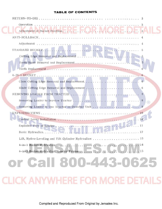|                                                       | 3                |
|-------------------------------------------------------|------------------|
|                                                       | 3                |
|                                                       |                  |
|                                                       |                  |
|                                                       | 5                |
|                                                       |                  |
|                                                       | 5                |
|                                                       |                  |
|                                                       | 6                |
|                                                       | $\overline{6}$   |
| Blade Cutting Edge Removal and Replacement            | -6               |
|                                                       | 8                |
|                                                       | 8<br>$\circledR$ |
|                                                       |                  |
|                                                       |                  |
|                                                       |                  |
|                                                       | $-11$            |
| Basic Hydraulics                                      | .12              |
| Lift, Hydra-Leveling and Tilt Cylinder Hydraulics  13 |                  |
|                                                       |                  |
|                                                       |                  |
|                                                       |                  |
| or Call 800-443-0625                                  |                  |
|                                                       |                  |
| <b>WHERE FOR MORE DETAIL</b>                          |                  |
|                                                       |                  |

 $\overline{\phantom{a}}$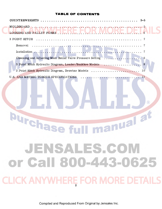| $3 - 5$                                                                                                                                                                                                                                                                                                                                                                                                                                                                                             |
|-----------------------------------------------------------------------------------------------------------------------------------------------------------------------------------------------------------------------------------------------------------------------------------------------------------------------------------------------------------------------------------------------------------------------------------------------------------------------------------------------------|
| MOLDBOARD<br>$1 + \frac{1}{2} + \frac{1}{2} + \frac{1}{2} + \frac{1}{2} + \frac{1}{2} + \frac{1}{2} + \frac{1}{2} + \frac{1}{2} + \frac{1}{2} + \frac{1}{2} + \frac{1}{2} + \frac{1}{2} + \frac{1}{2} + \frac{1}{2} + \frac{1}{2} + \frac{1}{2} + \frac{1}{2} + \frac{1}{2} + \frac{1}{2} + \frac{1}{2} + \frac{1}{2} + \frac{1}{2} + \frac{1}{2} + \frac{1}{2} + \frac{1}{2} + \frac{1}{2} + \frac{1}{2} + \frac$<br>LOGGING AND PALLET FORKS, NAME AND ADDRESS OF A LIBRAries of AND PALLET FORKS |
| 3 POINT HITCH                                                                                                                                                                                                                                                                                                                                                                                                                                                                                       |
| Removal                                                                                                                                                                                                                                                                                                                                                                                                                                                                                             |
| Installation                                                                                                                                                                                                                                                                                                                                                                                                                                                                                        |
| Checking and Adjusting Main Relief Valve Pressure Setting                                                                                                                                                                                                                                                                                                                                                                                                                                           |
| 3 Point Hitch Hydraulic Diagram, Loader/Backhoe Models                                                                                                                                                                                                                                                                                                                                                                                                                                              |
| 3 Point Hitch Hydraulic Diagram, Drawbar Models<br>10 <sup>°</sup>                                                                                                                                                                                                                                                                                                                                                                                                                                  |
| U.S. AND METRIC TORQUE SPECIFICATIONS<br>11<br>( R )<br>manual at<br>urchase                                                                                                                                                                                                                                                                                                                                                                                                                        |
| JENSALES.COM<br>or Call 800-443-0625                                                                                                                                                                                                                                                                                                                                                                                                                                                                |
| <b>CLICK ANYWHERE FOR MORE DETAILS</b>                                                                                                                                                                                                                                                                                                                                                                                                                                                              |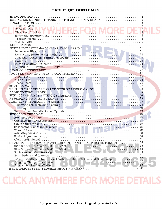| DEFINITION OF "RIGHT HAND, LEFT HAND, FRONT, REAR"  3                     |
|---------------------------------------------------------------------------|
|                                                                           |
|                                                                           |
|                                                                           |
|                                                                           |
|                                                                           |
|                                                                           |
|                                                                           |
|                                                                           |
|                                                                           |
|                                                                           |
|                                                                           |
|                                                                           |
|                                                                           |
|                                                                           |
|                                                                           |
|                                                                           |
|                                                                           |
|                                                                           |
|                                                                           |
|                                                                           |
|                                                                           |
| TESTING MAIN RELIEF VALVE WITH PRESSURE GAUGE  33                         |
|                                                                           |
|                                                                           |
|                                                                           |
| $\binom{R}{R}$                                                            |
|                                                                           |
|                                                                           |
|                                                                           |
|                                                                           |
|                                                                           |
|                                                                           |
|                                                                           |
|                                                                           |
|                                                                           |
|                                                                           |
|                                                                           |
|                                                                           |
| DISASSEMBLED VIEWS OF ATTACHMENTS AND TRACTOR COMPONENTS  54              |
|                                                                           |
|                                                                           |
|                                                                           |
|                                                                           |
| Lever Installation for Control Valve, Clutch, Shuttle, and Dual Range  56 |
|                                                                           |
|                                                                           |
|                                                                           |

### **CLICK ANYWHERE FOR MORE DETAILS**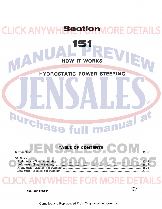### **Section 10** LICK ANYV  $)$  F **151**   $\mathbf{A}$ **HOW IT WORKS HYDROSTATIC POWER STEERING**  $\circledR$ **Durchase** manuala

![](_page_35_Figure_1.jpeg)

Rac. Form 9-80801